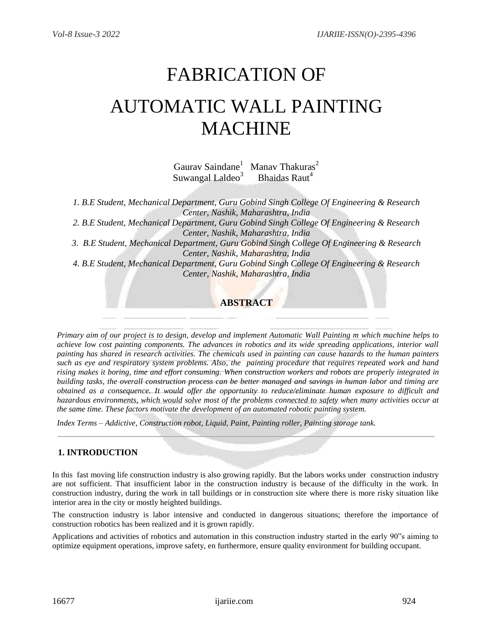# FABRICATION OF AUTOMATIC WALL PAINTING MACHINE

Gaurav Saindane<sup>1</sup> Manav Thakuras<sup>2</sup> Suwangal Laldeo $3$ Bhaidas Raut<sup>4</sup>

*1. B.E Student, Mechanical Department, Guru Gobind Singh College Of Engineering & Research Center, Nashik, Maharashtra, India*

*2. B.E Student, Mechanical Department, Guru Gobind Singh College Of Engineering & Research Center, Nashik, Maharashtra, India*

*3. B.E Student, Mechanical Department, Guru Gobind Singh College Of Engineering & Research Center, Nashik, Maharashtra, India*

*4. B.E Student, Mechanical Department, Guru Gobind Singh College Of Engineering & Research Center, Nashik, Maharashtra, India*

# **ABSTRACT**

*Primary aim of our project is to design, develop and implement Automatic Wall Painting m which machine helps to achieve low cost painting components. The advances in robotics and its wide spreading applications, interior wall painting has shared in research activities. The chemicals used in painting can cause hazards to the human painters such as eye and respiratory system problems. Also, the painting procedure that requires repeated work and hand rising makes it boring, time and effort consuming. When construction workers and robots are properly integrated in building tasks, the overall construction process can be better managed and savings in human labor and timing are obtained as a consequence. It would offer the opportunity to reduce/eliminate human exposure to difficult and hazardous environments, which would solve most of the problems connected to safety when many activities occur at the same time. These factors motivate the development of an automated robotic painting system.*

*Index Terms – Addictive, Construction robot, Liquid, Paint, Painting roller, Painting storage tank.*

# **1. INTRODUCTION**

In this fast moving life construction industry is also growing rapidly. But the labors works under construction industry are not sufficient. That insufficient labor in the construction industry is because of the difficulty in the work. In construction industry, during the work in tall buildings or in construction site where there is more risky situation like interior area in the city or mostly heighted buildings.

The construction industry is labor intensive and conducted in dangerous situations; therefore the importance of construction robotics has been realized and it is grown rapidly.

Applications and activities of robotics and automation in this construction industry started in the early 90"s aiming to optimize equipment operations, improve safety, en furthermore, ensure quality environment for building occupant.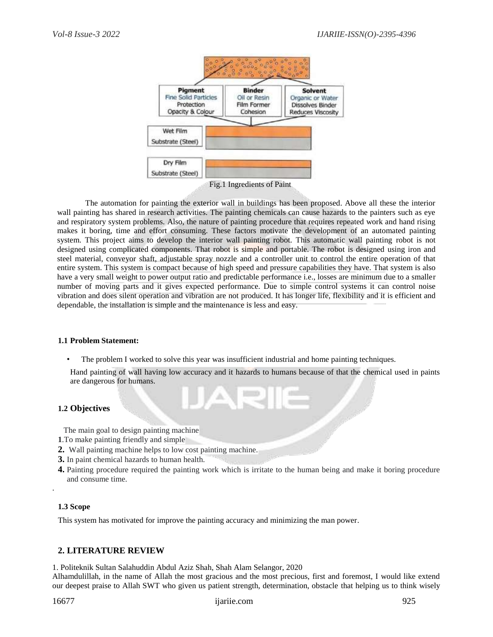

The automation for painting the exterior wall in buildings has been proposed. Above all these the interior wall painting has shared in research activities. The painting chemicals can cause hazards to the painters such as eye and respiratory system problems. Also, the nature of painting procedure that requires repeated work and hand rising makes it boring, time and effort consuming. These factors motivate the development of an automated painting system. This project aims to develop the interior wall painting robot. This automatic wall painting robot is not designed using complicated components. That robot is simple and portable. The robot is designed using iron and steel material, conveyor shaft, adjustable spray nozzle and a controller unit to control the entire operation of that entire system. This system is compact because of high speed and pressure capabilities they have. That system is also have a very small weight to power output ratio and predictable performance i.e., losses are minimum due to a smaller number of moving parts and it gives expected performance. Due to simple control systems it can control noise vibration and does silent operation and vibration are not produced. It has longer life, flexibility and it is efficient and dependable, the installation is simple and the maintenance is less and easy.

#### **1.1 Problem Statement:**

The problem I worked to solve this year was insufficient industrial and home painting techniques.

Hand painting of wall having low accuracy and it hazards to humans because of that the chemical used in paints are dangerous for humans.

#### **1.2 Objectives**

The main goal to design painting machine

- **1**.To make painting friendly and simple
- **2.** Wall painting machine helps to low cost painting machine.
- **3.** In paint chemical hazards to human health.
- **4.** Painting procedure required the painting work which is irritate to the human being and make it boring procedure and consume time.

#### **1.3 Scope**

.

This system has motivated for improve the painting accuracy and minimizing the man power.

#### **2. LITERATURE REVIEW**

1. Politeknik Sultan Salahuddin Abdul Aziz Shah, Shah Alam Selangor, 2020

Alhamdulillah, in the name of Allah the most gracious and the most precious, first and foremost, I would like extend our deepest praise to Allah SWT who given us patient strength, determination, obstacle that helping us to think wisely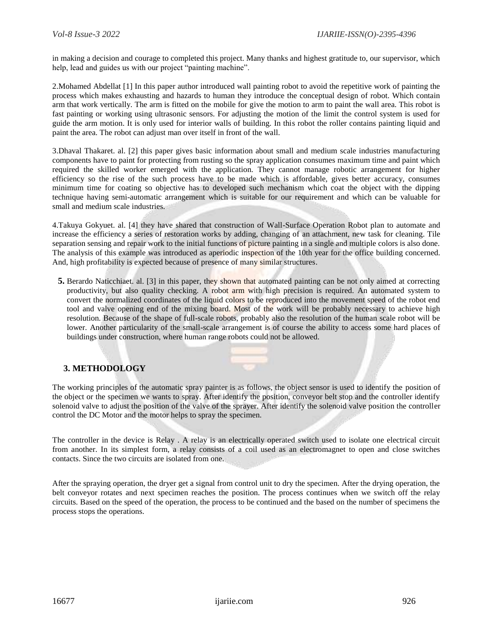in making a decision and courage to completed this project. Many thanks and highest gratitude to, our supervisor, which help, lead and guides us with our project "painting machine".

2.Mohamed Abdellat [1] In this paper author introduced wall painting robot to avoid the repetitive work of painting the process which makes exhausting and hazards to human they introduce the conceptual design of robot. Which contain arm that work vertically. The arm is fitted on the mobile for give the motion to arm to paint the wall area. This robot is fast painting or working using ultrasonic sensors. For adjusting the motion of the limit the control system is used for guide the arm motion. It is only used for interior walls of building. In this robot the roller contains painting liquid and paint the area. The robot can adjust man over itself in front of the wall.

3.Dhaval Thakaret. al. [2] this paper gives basic information about small and medium scale industries manufacturing components have to paint for protecting from rusting so the spray application consumes maximum time and paint which required the skilled worker emerged with the application. They cannot manage robotic arrangement for higher efficiency so the rise of the such process have to be made which is affordable, gives better accuracy, consumes minimum time for coating so objective has to developed such mechanism which coat the object with the dipping technique having semi-automatic arrangement which is suitable for our requirement and which can be valuable for small and medium scale industries.

4.Takuya Gokyuet. al. [4] they have shared that construction of Wall-Surface Operation Robot plan to automate and increase the efficiency a series of restoration works by adding, changing of an attachment, new task for cleaning. Tile separation sensing and repair work to the initial functions of picture painting in a single and multiple colors is also done. The analysis of this example was introduced as aperiodic inspection of the 10th year for the office building concerned. And, high profitability is expected because of presence of many similar structures.

**5.** Berardo Naticchiaet. al. [3] in this paper, they shown that automated painting can be not only aimed at correcting productivity, but also quality checking. A robot arm with high precision is required. An automated system to convert the normalized coordinates of the liquid colors to be reproduced into the movement speed of the robot end tool and valve opening end of the mixing board. Most of the work will be probably necessary to achieve high resolution. Because of the shape of full-scale robots, probably also the resolution of the human scale robot will be lower. Another particularity of the small-scale arrangement is of course the ability to access some hard places of buildings under construction, where human range robots could not be allowed.



# **3. METHODOLOGY**

The working principles of the automatic spray painter is as follows, the object sensor is used to identify the position of the object or the specimen we wants to spray. After identify the position, conveyor belt stop and the controller identify solenoid valve to adjust the position of the valve of the sprayer. After identify the solenoid valve position the controller control the DC Motor and the motor helps to spray the specimen.

The controller in the device is Relay . A relay is an electrically operated switch used to isolate one electrical circuit from another. In its simplest form, a relay consists of a coil used as an electromagnet to open and close switches contacts. Since the two circuits are isolated from one.

After the spraying operation, the dryer get a signal from control unit to dry the specimen. After the drying operation, the belt conveyor rotates and next specimen reaches the position. The process continues when we switch off the relay circuits. Based on the speed of the operation, the process to be continued and the based on the number of specimens the process stops the operations.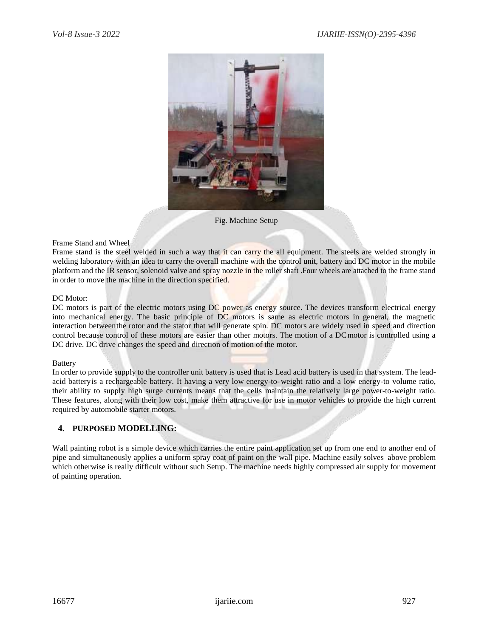

Fig. Machine Setup

#### Frame Stand and Wheel

Frame stand is the steel welded in such a way that it can carry the all equipment. The steels are welded strongly in welding laboratory with an idea to carry the overall machine with the control unit, battery and DC motor in the mobile platform and the IR sensor, solenoid valve and spray nozzle in the roller shaft .Four wheels are attached to the frame stand in order to move the machine in the direction specified.

#### DC Motor:

DC motors is part of the electric motors using DC power as energy source. The devices transform electrical energy into mechanical energy. The basic principle of DC motors is same as electric motors in general, the magnetic interaction betweenthe rotor and the stator that will generate spin. DC motors are widely used in speed and direction control because control of these motors are easier than other motors. The motion of a DCmotor is controlled using a DC drive. DC drive changes the speed and direction of motion of the motor.

#### **Battery**

In order to provide supply to the controller unit battery is used that is Lead acid battery is used in that system. The leadacid batteryis a rechargeable battery. It having a very low energy-to-weight ratio and a low energy-to volume ratio, their ability to supply high surge currents means that the cells maintain the relatively large power-to-weight ratio. These features, along with their low cost, make them attractive for use in motor vehicles to provide the high current required by automobile starter motors.

# **4. PURPOSED MODELLING:**

Wall painting robot is a simple device which carries the entire paint application set up from one end to another end of pipe and simultaneously applies a uniform spray coat of paint on the wall pipe. Machine easily solves above problem which otherwise is really difficult without such Setup. The machine needs highly compressed air supply for movement of painting operation.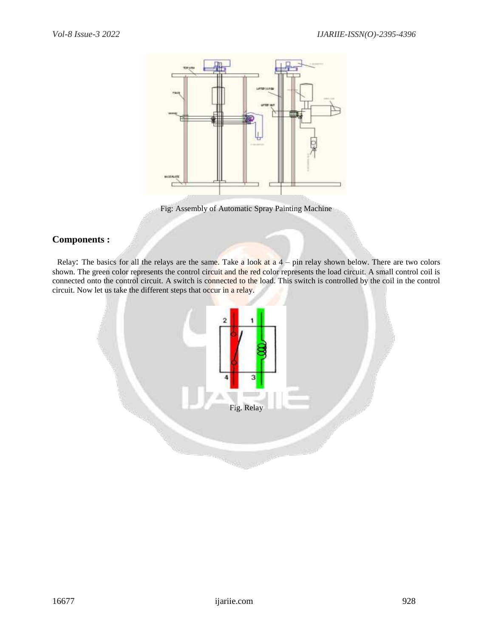

Fig: Assembly of Automatic Spray Painting Machine

# **Components :**

Relay: The basics for all the relays are the same. Take a look at  $a$  4 – pin relay shown below. There are two colors shown. The green color represents the control circuit and the red color represents the load circuit. A small control coil is connected onto the control circuit. A switch is connected to the load. This switch is controlled by the coil in the control circuit. Now let us take the different steps that occur in a relay.

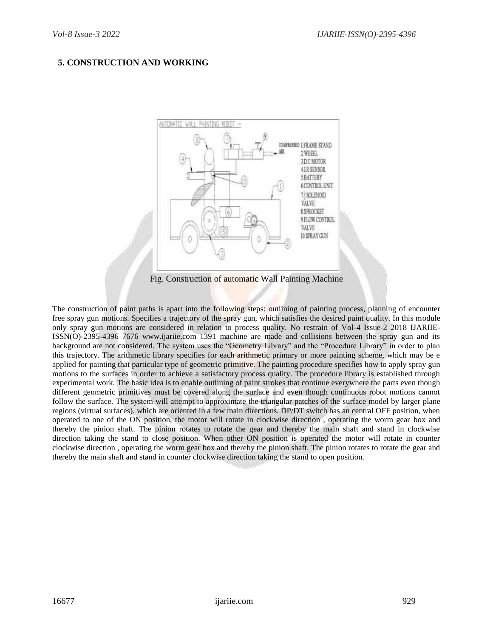# **5. CONSTRUCTION AND WORKING**



The construction of paint paths is apart into the following steps: outlining of painting process, planning of encounter free spray gun motions. Specifies a trajectory of the spray gun, which satisfies the desired paint quality. In this module only spray gun motions are considered in relation to process quality. No restrain of Vol-4 Issue-2 2018 IJARIIE-ISSN(O)-2395-4396 7676 www.ijariie.com 1391 machine are made and collisions between the spray gun and its background are not considered. The system uses the "Geometry Library" and the "Procedure Library" in order to plan this trajectory. The arithmetic library specifies for each arithmetic primary or more painting scheme, which may be e applied for painting that particular type of geometric primitive. The painting procedure specifies how to apply spray gun motions to the surfaces in order to achieve a satisfactory process quality. The procedure library is established through experimental work. The basic idea is to enable outlining of paint strokes that continue everywhere the parts even though different geometric primitives must be covered along the surface and even though continuous robot motions cannot follow the surface. The system will attempt to approximate the triangular patches of the surface model by larger plane regions (virtual surfaces), which are oriented in a few main directions. DP/DT switch has an central OFF position, when operated to one of the ON position, the motor will rotate in clockwise direction , operating the worm gear box and thereby the pinion shaft. The pinion rotates to rotate the gear and thereby the main shaft and stand in clockwise direction taking the stand to close position. When other ON position is operated the motor will rotate in counter clockwise direction , operating the worm gear box and thereby the pinion shaft. The pinion rotates to rotate the gear and thereby the main shaft and stand in counter clockwise direction taking the stand to open position.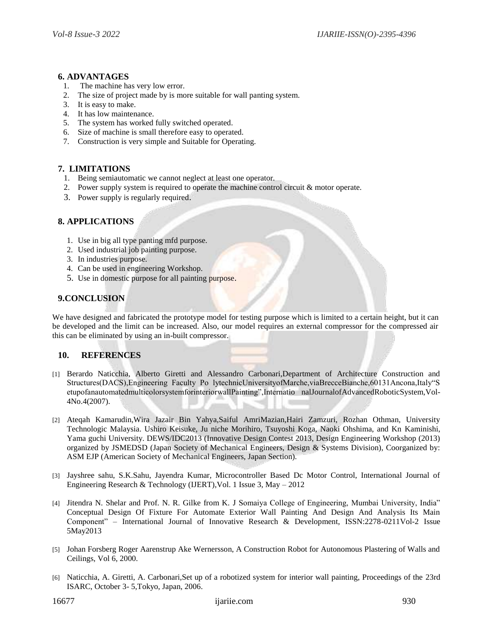## **6. ADVANTAGES**

- 1. The machine has very low error.
- 2. The size of project made by is more suitable for wall panting system.
- 3. It is easy to make.
- 4. It has low maintenance.
- 5. The system has worked fully switched operated.
- 6. Size of machine is small therefore easy to operated.
- 7. Construction is very simple and Suitable for Operating.

## **7. LIMITATIONS**

- 1. Being semiautomatic we cannot neglect at least one operator.
- 2. Power supply system is required to operate the machine control circuit & motor operate.
- 3. Power supply is regularly required.

# **8. APPLICATIONS**

- 1. Use in big all type panting mfd purpose.
- 2. Used industrial job painting purpose.
- 3. In industries purpose.
- 4. Can be used in engineering Workshop.
- 5. Use in domestic purpose for all painting purpose.

# **9.CONCLUSION**

We have designed and fabricated the prototype model for testing purpose which is limited to a certain height, but it can be developed and the limit can be increased. Also, our model requires an external compressor for the compressed air this can be eliminated by using an in-built compressor.

# **10. REFERENCES**

- [1] Berardo Naticchia, Alberto Giretti and Alessandro Carbonari,Department of Architecture Construction and Structures(DACS),Engineering Faculty Po lytechnicUniversityofMarche,viaBrecceBianche,60131Ancona,Italy"S etupofanautomatedmulticolorsystemforinteriorwallPainting",Internatio nalJournalofAdvancedRoboticSystem,Vol-4No.4(2007).
- [2] Ateqah Kamarudin,Wira Jazair Bin Yahya,Saiful AmriMazian,Hairi Zamzuri, Rozhan Othman, University Technologic Malaysia. Ushiro Keisuke, Ju niche Morihiro, Tsuyoshi Koga, Naoki Ohshima, and Kn Kaminishi, Yama guchi University. DEWS/IDC2013 (Innovative Design Contest 2013, Design Engineering Workshop (2013) organized by JSMEDSD (Japan Society of Mechanical Engineers, Design & Systems Division), Coorganized by: ASM EJP (American Society of Mechanical Engineers, Japan Section).
- [3] Jayshree sahu, S.K.Sahu, Jayendra Kumar, Microcontroller Based Dc Motor Control, International Journal of Engineering Research & Technology (IJERT),Vol. 1 Issue 3, May – 2012
- [4] Jitendra N. Shelar and Prof. N. R. Gilke from K. J Somaiya College of Engineering, Mumbai University, India" Conceptual Design Of Fixture For Automate Exterior Wall Painting And Design And Analysis Its Main Component" – International Journal of Innovative Research & Development, ISSN:2278-0211Vol-2 Issue 5May2013
- [5] Johan Forsberg Roger Aarenstrup Ake Wernersson, A Construction Robot for Autonomous Plastering of Walls and Ceilings, Vol 6, 2000.
- [6] Naticchia, A. Giretti, A. Carbonari,Set up of a robotized system for interior wall painting, Proceedings of the 23rd ISARC, October 3- 5,Tokyo, Japan, 2006.